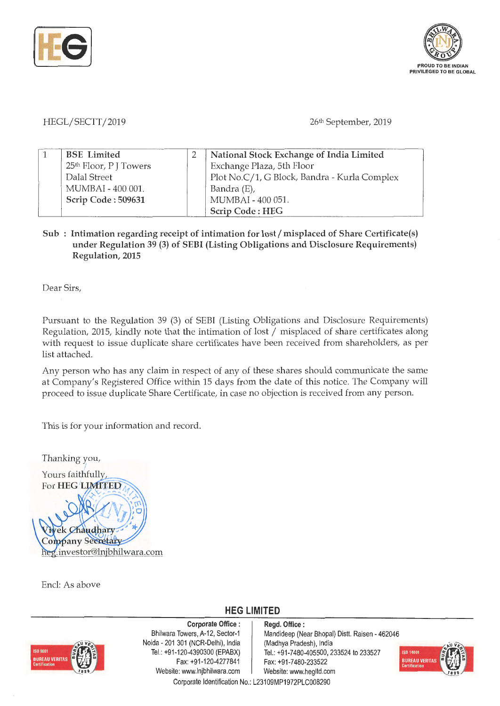



HEGL/SECTT/2019

26<sup>th</sup> September, 2019

| <b>BSE</b> Limited                 | National Stock Exchange of India Limited     |  |
|------------------------------------|----------------------------------------------|--|
| 25 <sup>th</sup> Floor, P J Towers | Exchange Plaza, 5th Floor                    |  |
| Dalal Street                       | Plot No.C/1, G Block, Bandra - Kurla Complex |  |
| MUMBAI - 400 001.                  | Bandra (E),                                  |  |
| Scrip Code: 509631                 | MUMBAI - 400 051.                            |  |
|                                    | <b>Scrip Code: HEG</b>                       |  |

## Sub : Intimation regarding receipt of intimation for lost/misplaced of Share Certificate(s) **under Regulation 39 (3) of SEBI (Listing Obligations and Disclosure Requirements) Regulation, 2015**

Dear Sirs,

Pursuant to the Regulation 39 (3) of SEBI (Listing Obligations and Disclosure Requirements) Regulation, 2015, kindly note that the intimation of lost/ misplaced of share certificates along with request to issue duplicate share certificates have been received from shareholders, as per list attached.

Any person who has any claim in respect of any of these shares should communicate the same at Company's Registered Office within 15 days from the date of this notice. The Company will proceed to issue duplicate Share Certificate, in case no objection is received from any person.

This is for your information and record.

Thanking you, Yours faithfully, For HEG LIMITED ek Chaudhary pany Secretary heg.investor@lnjbhilwara.com

Encl: As above

## **HEG LIMITED**



**Corporate Office** : Bhilwara Towers, A-12, Sector-1 Naida - 201 301 (NCR-Delhi), India Tel.: +91-120-4390300 (EPABX) Fax: +91-120-4277841 Website: www.lnjbhilwara.com | Website: www.hegltd.com

**Regd. Office** : Mandideep (Near Bhopal) Dist!. Raisen - 462046 (Madhya Pradesh), India Tel.: +91-7480-405500, 233524 to 233527 Fax: +91 -7480-233522



Corporate Identification No.: L23109MP1972PLC008290